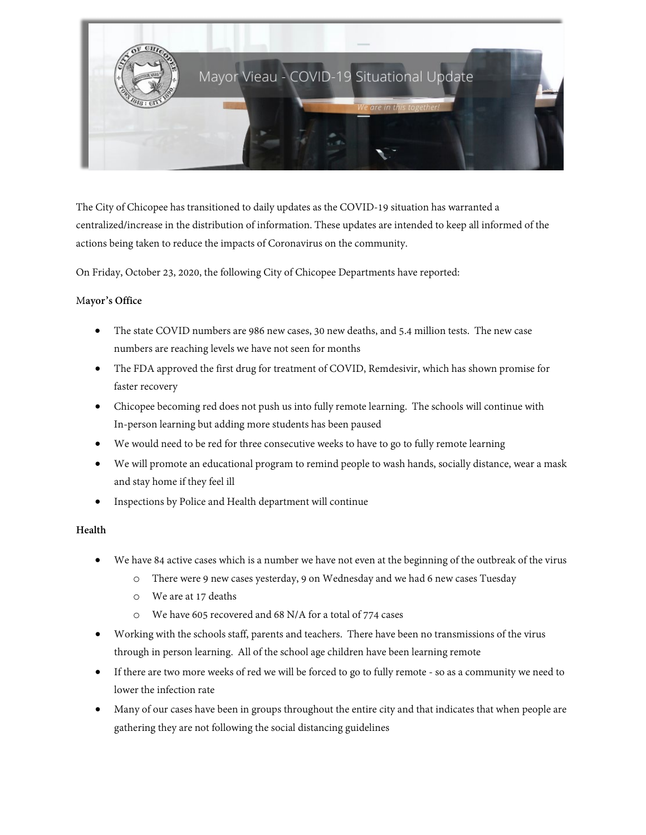

The City of Chicopee has transitioned to daily updates as the COVID-19 situation has warranted a centralized/increase in the distribution of information. These updates are intended to keep all informed of the actions being taken to reduce the impacts of Coronavirus on the community.

On Friday, October 23, 2020, the following City of Chicopee Departments have reported:

## M**ayor's Office**

- The state COVID numbers are 986 new cases, 30 new deaths, and 5.4 million tests. The new case numbers are reaching levels we have not seen for months
- The FDA approved the first drug for treatment of COVID, Remdesivir, which has shown promise for faster recovery
- Chicopee becoming red does not push us into fully remote learning. The schools will continue with In-person learning but adding more students has been paused
- We would need to be red for three consecutive weeks to have to go to fully remote learning
- We will promote an educational program to remind people to wash hands, socially distance, wear a mask and stay home if they feel ill
- Inspections by Police and Health department will continue

# **Health**

- We have 84 active cases which is a number we have not even at the beginning of the outbreak of the virus
	- o There were 9 new cases yesterday, 9 on Wednesday and we had 6 new cases Tuesday
	- o We are at 17 deaths
	- o We have 605 recovered and 68 N/A for a total of 774 cases
- Working with the schools staff, parents and teachers. There have been no transmissions of the virus through in person learning. All of the school age children have been learning remote
- If there are two more weeks of red we will be forced to go to fully remote so as a community we need to lower the infection rate
- Many of our cases have been in groups throughout the entire city and that indicates that when people are gathering they are not following the social distancing guidelines